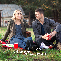## **change** *of* **heart**

 $\tilde{A}$ 

万